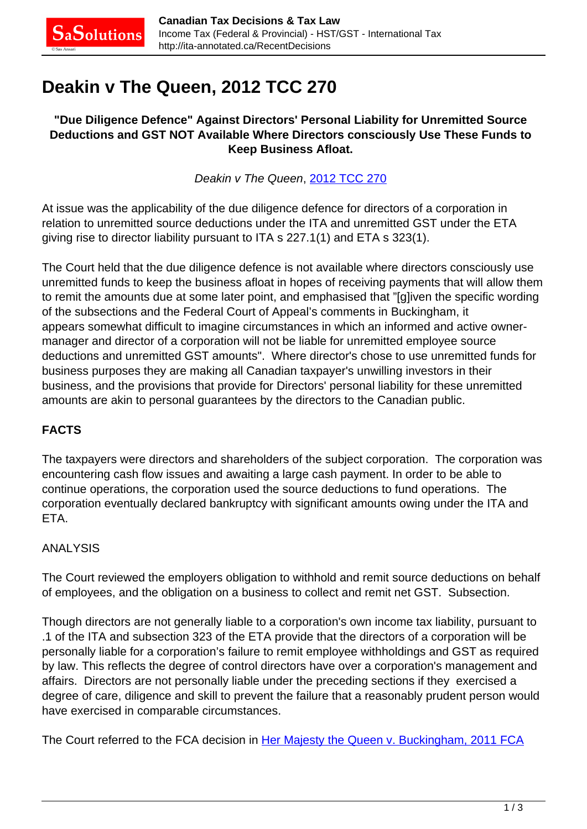# **Deakin v The Queen, 2012 TCC 270**

#### **"Due Diligence Defence" Against Directors' Personal Liability for Unremitted Source Deductions and GST NOT Available Where Directors consciously Use These Funds to Keep Business Afloat.**

Deakin v The Queen, [2012 TCC 270](http://decision.tcc-cci.gc.ca/en/2012/2012tcc270/2012tcc270.html)

At issue was the applicability of the due diligence defence for directors of a corporation in relation to unremitted source deductions under the ITA and unremitted GST under the ETA giving rise to director liability pursuant to ITA s 227.1(1) and ETA s 323(1).

The Court held that the due diligence defence is not available where directors consciously use unremitted funds to keep the business afloat in hopes of receiving payments that will allow them to remit the amounts due at some later point, and emphasised that "[g]iven the specific wording of the subsections and the Federal Court of Appeal's comments in Buckingham, it appears somewhat difficult to imagine circumstances in which an informed and active ownermanager and director of a corporation will not be liable for unremitted employee source deductions and unremitted GST amounts". Where director's chose to use unremitted funds for business purposes they are making all Canadian taxpayer's unwilling investors in their business, and the provisions that provide for Directors' personal liability for these unremitted amounts are akin to personal guarantees by the directors to the Canadian public.

### **FACTS**

The taxpayers were directors and shareholders of the subject corporation. The corporation was encountering cash flow issues and awaiting a large cash payment. In order to be able to continue operations, the corporation used the source deductions to fund operations. The corporation eventually declared bankruptcy with significant amounts owing under the ITA and ETA.

#### ANALYSIS

The Court reviewed the employers obligation to withhold and remit source deductions on behalf of employees, and the obligation on a business to collect and remit net GST. Subsection.

Though directors are not generally liable to a corporation's own income tax liability, pursuant to .1 of the ITA and subsection 323 of the ETA provide that the directors of a corporation will be personally liable for a corporation's failure to remit employee withholdings and GST as required by law. This reflects the degree of control directors have over a corporation's management and affairs. Directors are not personally liable under the preceding sections if they exercised a degree of care, diligence and skill to prevent the failure that a reasonably prudent person would have exercised in comparable circumstances.

The Court referred to the FCA decision in [Her Majesty the Queen v. Buckingham, 2011 FCA](http://canlii.ca/t/fl892)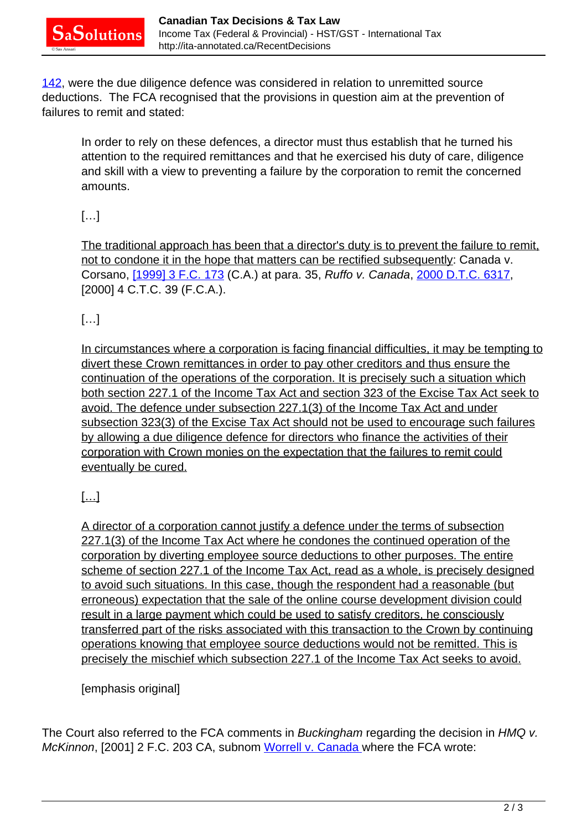[142,](http://canlii.ca/t/fl892) were the due diligence defence was considered in relation to unremitted source deductions. The FCA recognised that the provisions in question aim at the prevention of failures to remit and stated:

In order to rely on these defences, a director must thus establish that he turned his attention to the required remittances and that he exercised his duty of care, diligence and skill with a view to preventing a failure by the corporation to remit the concerned amounts.

# […]

The traditional approach has been that a director's duty is to prevent the failure to remit, not to condone it in the hope that matters can be rectified subsequently: Canada v. Corsano, [\[1999\] 3 F.C. 173](http://www.lexisnexis.com:80/ca/legal/search/runRemoteLink.do?langcountry=CA&linkInfo=F%23CA%23FCR%23sel2%253%25year%251999%25page%25173%25sel1%251999%25vol%253%25&risb=21_T15143824049&bct=A&service=citation&A=0.7046021604198833) (C.A.) at para. 35, Ruffo v. Canada, [2000 D.T.C. 6317](http://www.lexisnexis.com:80/ca/legal/search/runRemoteLink.do?langcountry=CA&linkInfo=F%23CA%23DTC%23year%252000%25page%256317%25sel1%252000%25&risb=21_T15143824049&bct=A&service=citation&A=0.4967633565209605), [2000] 4 C.T.C. 39 (F.C.A.).

## $[...]$

In circumstances where a corporation is facing financial difficulties, it may be tempting to divert these Crown remittances in order to pay other creditors and thus ensure the continuation of the operations of the corporation. It is precisely such a situation which both section 227.1 of the Income Tax Act and section 323 of the Excise Tax Act seek to avoid. The defence under subsection 227.1(3) of the Income Tax Act and under subsection 323(3) of the Excise Tax Act should not be used to encourage such failures by allowing a due diligence defence for directors who finance the activities of their corporation with Crown monies on the expectation that the failures to remit could eventually be cured.

# […]

A director of a corporation cannot justify a defence under the terms of subsection 227.1(3) of the Income Tax Act where he condones the continued operation of the corporation by diverting employee source deductions to other purposes. The entire scheme of section 227.1 of the Income Tax Act, read as a whole, is precisely designed to avoid such situations. In this case, though the respondent had a reasonable (but erroneous) expectation that the sale of the online course development division could result in a large payment which could be used to satisfy creditors, he consciously transferred part of the risks associated with this transaction to the Crown by continuing operations knowing that employee source deductions would not be remitted. This is precisely the mischief which subsection 227.1 of the Income Tax Act seeks to avoid.

### [emphasis original]

The Court also referred to the FCA comments in Buckingham regarding the decision in HMQ v. McKinnon, [2001] 2 F.C. 203 CA, subnom [Worrell v. Canada](http://canlii.ca/t/1c6vr) where the FCA wrote: